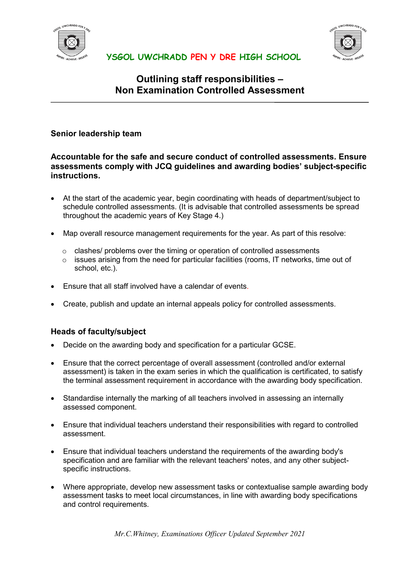



# **Outlining staff responsibilities – Non Examination Controlled Assessment**

#### **Senior leadership team**

#### **Accountable for the safe and secure conduct of controlled assessments. Ensure assessments comply with JCQ guidelines and awarding bodies' subject-specific instructions.**

- At the start of the academic year, begin coordinating with heads of department/subject to schedule controlled assessments. (It is advisable that controlled assessments be spread throughout the academic years of Key Stage 4.)
- Map overall resource management requirements for the year. As part of this resolve:
	- $\circ$  clashes/ problems over the timing or operation of controlled assessments
	- o issues arising from the need for particular facilities (rooms, IT networks, time out of school, etc.).
- Ensure that all staff involved have a calendar of events.
- Create, publish and update an internal appeals policy for controlled assessments.

#### **Heads of faculty/subject**

- Decide on the awarding body and specification for a particular GCSE.
- Ensure that the correct percentage of overall assessment (controlled and/or external assessment) is taken in the exam series in which the qualification is certificated, to satisfy the terminal assessment requirement in accordance with the awarding body specification.
- Standardise internally the marking of all teachers involved in assessing an internally assessed component.
- Ensure that individual teachers understand their responsibilities with regard to controlled assessment.
- Ensure that individual teachers understand the requirements of the awarding body's specification and are familiar with the relevant teachers' notes, and any other subjectspecific instructions.
- Where appropriate, develop new assessment tasks or contextualise sample awarding body assessment tasks to meet local circumstances, in line with awarding body specifications and control requirements.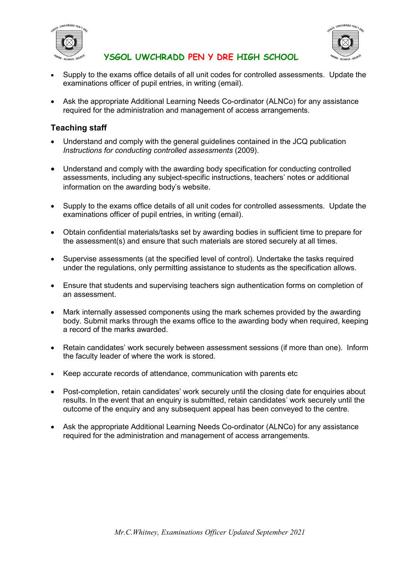



- Supply to the exams office details of all unit codes for controlled assessments. Update the examinations officer of pupil entries, in writing (email).
- Ask the appropriate Additional Learning Needs Co-ordinator (ALNCo) for any assistance required for the administration and management of access arrangements.

### **Teaching staff**

- Understand and comply with the general guidelines contained in the JCQ publication *Instructions for conducting controlled assessments* (2009).
- Understand and comply with the awarding body specification for conducting controlled assessments, including any subject-specific instructions, teachers' notes or additional information on the awarding body's website.
- Supply to the exams office details of all unit codes for controlled assessments. Update the examinations officer of pupil entries, in writing (email).
- Obtain confidential materials/tasks set by awarding bodies in sufficient time to prepare for the assessment(s) and ensure that such materials are stored securely at all times.
- Supervise assessments (at the specified level of control). Undertake the tasks required under the regulations, only permitting assistance to students as the specification allows.
- Ensure that students and supervising teachers sign authentication forms on completion of an assessment.
- Mark internally assessed components using the mark schemes provided by the awarding body. Submit marks through the exams office to the awarding body when required, keeping a record of the marks awarded.
- Retain candidates' work securely between assessment sessions (if more than one). Inform the faculty leader of where the work is stored.
- Keep accurate records of attendance, communication with parents etc
- Post-completion, retain candidates' work securely until the closing date for enquiries about results. In the event that an enquiry is submitted, retain candidates' work securely until the outcome of the enquiry and any subsequent appeal has been conveyed to the centre.
- Ask the appropriate Additional Learning Needs Co-ordinator (ALNCo) for any assistance required for the administration and management of access arrangements.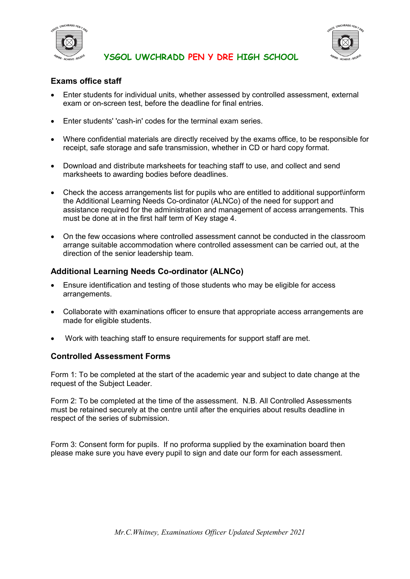



## **Exams office staff**

- Enter students for individual units, whether assessed by controlled assessment, external exam or on-screen test, before the deadline for final entries.
- Enter students' 'cash-in' codes for the terminal exam series.
- Where confidential materials are directly received by the exams office, to be responsible for receipt, safe storage and safe transmission, whether in CD or hard copy format.
- Download and distribute marksheets for teaching staff to use, and collect and send marksheets to awarding bodies before deadlines.
- Check the access arrangements list for pupils who are entitled to additional support\inform the Additional Learning Needs Co-ordinator (ALNCo) of the need for support and assistance required for the administration and management of access arrangements. This must be done at in the first half term of Key stage 4.
- On the few occasions where controlled assessment cannot be conducted in the classroom arrange suitable accommodation where controlled assessment can be carried out, at the direction of the senior leadership team.

## **Additional Learning Needs Co-ordinator (ALNCo)**

- Ensure identification and testing of those students who may be eligible for access arrangements.
- Collaborate with examinations officer to ensure that appropriate access arrangements are made for eligible students.
- Work with teaching staff to ensure requirements for support staff are met.

## **Controlled Assessment Forms**

Form 1: To be completed at the start of the academic year and subject to date change at the request of the Subject Leader.

Form 2: To be completed at the time of the assessment. N.B. All Controlled Assessments must be retained securely at the centre until after the enquiries about results deadline in respect of the series of submission.

Form 3: Consent form for pupils. If no proforma supplied by the examination board then please make sure you have every pupil to sign and date our form for each assessment.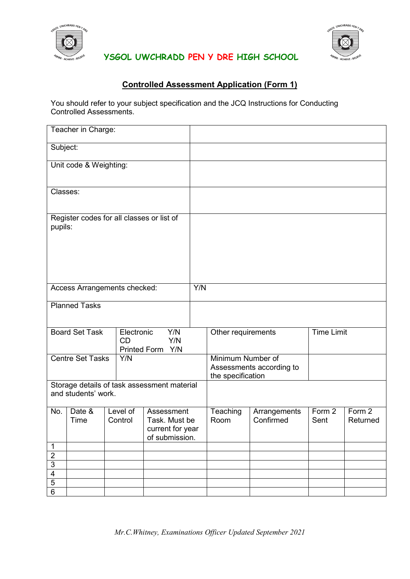



# **Controlled Assessment Application (Form 1)**

You should refer to your subject specification and the JCQ Instructions for Conducting Controlled Assessments.

| Teacher in Charge:                                                 |                |  |                                                                                          |  |     |                                                                    |                           |                              |                    |
|--------------------------------------------------------------------|----------------|--|------------------------------------------------------------------------------------------|--|-----|--------------------------------------------------------------------|---------------------------|------------------------------|--------------------|
| Subject:                                                           |                |  |                                                                                          |  |     |                                                                    |                           |                              |                    |
| Unit code & Weighting:                                             |                |  |                                                                                          |  |     |                                                                    |                           |                              |                    |
| Classes:                                                           |                |  |                                                                                          |  |     |                                                                    |                           |                              |                    |
| Register codes for all classes or list of<br>pupils:               |                |  |                                                                                          |  |     |                                                                    |                           |                              |                    |
| Access Arrangements checked:                                       |                |  |                                                                                          |  | Y/N |                                                                    |                           |                              |                    |
| <b>Planned Tasks</b>                                               |                |  |                                                                                          |  |     |                                                                    |                           |                              |                    |
| <b>Board Set Task</b>                                              |                |  | Y/N<br>Electronic<br><b>CD</b><br>Y/N<br><b>Printed Form</b><br>Y/N                      |  |     | Other requirements                                                 |                           | <b>Time Limit</b>            |                    |
| <b>Centre Set Tasks</b>                                            |                |  | Y/N                                                                                      |  |     | Minimum Number of<br>Assessments according to<br>the specification |                           |                              |                    |
| Storage details of task assessment material<br>and students' work. |                |  |                                                                                          |  |     |                                                                    |                           |                              |                    |
| No.                                                                | Date &<br>Time |  | Level of<br>Assessment<br>Task. Must be<br>Control<br>current for year<br>of submission. |  |     | Teaching<br>Room                                                   | Arrangements<br>Confirmed | $\overline{F}$ orm 2<br>Sent | Form 2<br>Returned |
| 1                                                                  |                |  |                                                                                          |  |     |                                                                    |                           |                              |                    |
| $\overline{2}$                                                     |                |  |                                                                                          |  |     |                                                                    |                           |                              |                    |
| $\overline{3}$                                                     |                |  |                                                                                          |  |     |                                                                    |                           |                              |                    |
| $\overline{4}$                                                     |                |  |                                                                                          |  |     |                                                                    |                           |                              |                    |
| 5                                                                  |                |  |                                                                                          |  |     |                                                                    |                           |                              |                    |
| $\overline{6}$                                                     |                |  |                                                                                          |  |     |                                                                    |                           |                              |                    |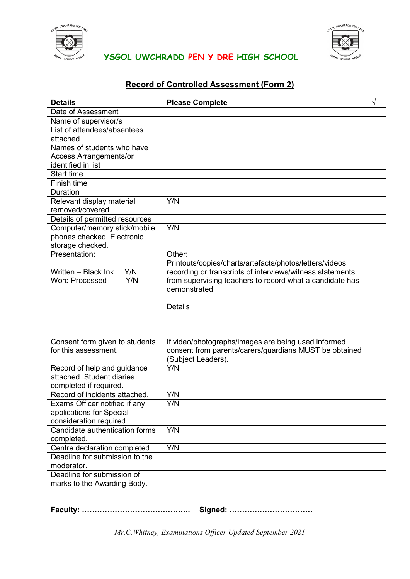



# **Record of Controlled Assessment (Form 2)**

| <b>Details</b>                                             | <b>Please Complete</b>                                                       | $\sqrt{}$ |
|------------------------------------------------------------|------------------------------------------------------------------------------|-----------|
| Date of Assessment                                         |                                                                              |           |
| Name of supervisor/s                                       |                                                                              |           |
| List of attendees/absentees                                |                                                                              |           |
| attached                                                   |                                                                              |           |
| Names of students who have                                 |                                                                              |           |
| <b>Access Arrangements/or</b>                              |                                                                              |           |
| identified in list                                         |                                                                              |           |
| <b>Start time</b>                                          |                                                                              |           |
| Finish time                                                |                                                                              |           |
| Duration                                                   |                                                                              |           |
| Relevant display material                                  | Y/N                                                                          |           |
| removed/covered                                            |                                                                              |           |
| Details of permitted resources                             | Y/N                                                                          |           |
| Computer/memory stick/mobile<br>phones checked. Electronic |                                                                              |           |
| storage checked.                                           |                                                                              |           |
| Presentation:                                              | Other:                                                                       |           |
|                                                            | Printouts/copies/charts/artefacts/photos/letters/videos                      |           |
| Y/N<br>Written - Black Ink                                 | recording or transcripts of interviews/witness statements                    |           |
| Y/N<br><b>Word Processed</b>                               | from supervising teachers to record what a candidate has                     |           |
|                                                            | demonstrated:                                                                |           |
|                                                            |                                                                              |           |
|                                                            | Details:                                                                     |           |
|                                                            |                                                                              |           |
|                                                            |                                                                              |           |
|                                                            |                                                                              |           |
| Consent form given to students<br>for this assessment.     | If video/photographs/images are being used informed                          |           |
|                                                            | consent from parents/carers/guardians MUST be obtained<br>(Subject Leaders). |           |
| Record of help and guidance                                | Y/N                                                                          |           |
| attached. Student diaries                                  |                                                                              |           |
| completed if required.                                     |                                                                              |           |
| Record of incidents attached.                              | Y/N                                                                          |           |
| Exams Officer notified if any                              | Y/N                                                                          |           |
| applications for Special                                   |                                                                              |           |
| consideration required.                                    |                                                                              |           |
| Candidate authentication forms                             | Y/N                                                                          |           |
| completed.                                                 |                                                                              |           |
| Centre declaration completed.                              | Y/N                                                                          |           |
| Deadline for submission to the                             |                                                                              |           |
| moderator.                                                 |                                                                              |           |
| Deadline for submission of                                 |                                                                              |           |
| marks to the Awarding Body.                                |                                                                              |           |

**Faculty: ……………………………………. Signed: ……………………………**

*Mr.C.Whitney, Examinations Officer Updated September 2021*